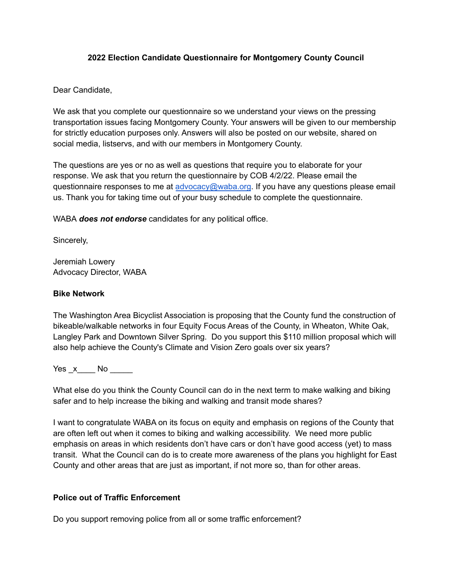## **2022 Election Candidate Questionnaire for Montgomery County Council**

## Dear Candidate,

We ask that you complete our questionnaire so we understand your views on the pressing transportation issues facing Montgomery County. Your answers will be given to our membership for strictly education purposes only. Answers will also be posted on our website, shared on social media, listservs, and with our members in Montgomery County.

The questions are yes or no as well as questions that require you to elaborate for your response. We ask that you return the questionnaire by COB 4/2/22. Please email the questionnaire responses to me at advocacy@waba.org. If you have any questions please email us. Thank you for taking time out of your busy schedule to complete the questionnaire.

WABA *does not endorse* candidates for any political office.

Sincerely,

Jeremiah Lowery Advocacy Director, WABA

# **Bike Network**

The Washington Area Bicyclist Association is proposing that the County fund the construction of bikeable/walkable networks in four Equity Focus Areas of the County, in Wheaton, White Oak, Langley Park and Downtown Silver Spring. Do you support this \$110 million proposal which will also help achieve the County's Climate and Vision Zero goals over six years?

Yes \_x\_\_\_\_ No \_\_\_\_\_

What else do you think the County Council can do in the next term to make walking and biking safer and to help increase the biking and walking and transit mode shares?

I want to congratulate WABA on its focus on equity and emphasis on regions of the County that are often left out when it comes to biking and walking accessibility. We need more public emphasis on areas in which residents don't have cars or don't have good access (yet) to mass transit. What the Council can do is to create more awareness of the plans you highlight for East County and other areas that are just as important, if not more so, than for other areas.

## **Police out of Traffic Enforcement**

Do you support removing police from all or some traffic enforcement?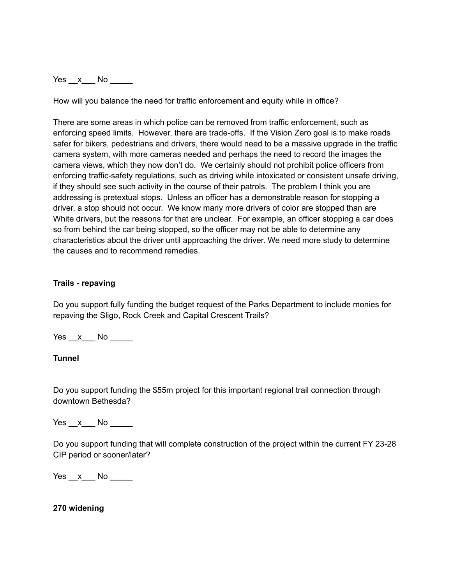$Yes \_\_x \_\_ No \_\_$ 

How will you balance the need for traffic enforcement and equity while in office?

There are some areas in which police can be removed from traffic enforcement, such as enforcing speed limits. However, there are trade-offs. If the Vision Zero goal is to make roads safer for bikers, pedestrians and drivers, there would need to be a massive upgrade in the traffic camera system, with more cameras needed and perhaps the need to record the images the camera views, which they now don't do. We certainly should not prohibit police officers from enforcing traffic-safety regulations, such as driving while intoxicated or consistent unsafe driving, if they should see such activity in the course of their patrols. The problem I think you are addressing is pretextual stops. Unless an officer has a demonstrable reason for stopping a driver, a stop should not occur. We know many more drivers of color are stopped than are White drivers, but the reasons for that are unclear. For example, an officer stopping a car does so from behind the car being stopped, so the officer may not be able to determine any characteristics about the driver until approaching the driver. We need more study to determine the causes and to recommend remedies.

### **Trails - repaving**

Do you support fully funding the budget request of the Parks Department to include monies for repaving the Sligo, Rock Creek and Capital Crescent Trails?

Yes x No  $\overline{\phantom{a}}$ 

#### **Tunnel**

Do you support funding the \$55m project for this important regional trail connection through downtown Bethesda?

Yes x No  $\blacksquare$ 

Do you support funding that will complete construction of the project within the current FY 23-28 CIP period or sooner/later?

 $Yes \_\ x$  No  $\_\_\_\_\$ 

**270 widening**